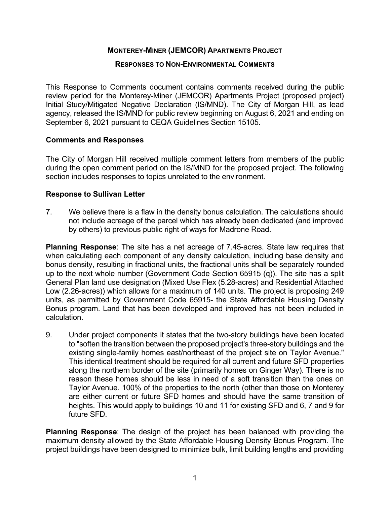# **MONTEREY-MINER (JEMCOR) APARTMENTS PROJECT**

### **RESPONSES TO NON-ENVIRONMENTAL COMMENTS**

This Response to Comments document contains comments received during the public review period for the Monterey-Miner (JEMCOR) Apartments Project (proposed project) Initial Study/Mitigated Negative Declaration (IS/MND). The City of Morgan Hill, as lead agency, released the IS/MND for public review beginning on August 6, 2021 and ending on September 6, 2021 pursuant to CEQA Guidelines Section 15105.

### **Comments and Responses**

The City of Morgan Hill received multiple comment letters from members of the public during the open comment period on the IS/MND for the proposed project. The following section includes responses to topics unrelated to the environment.

### **Response to Sullivan Letter**

7. We believe there is a flaw in the density bonus calculation. The calculations should not include acreage of the parcel which has already been dedicated (and improved by others) to previous public right of ways for Madrone Road.

**Planning Response**: The site has a net acreage of 7.45-acres. State law requires that when calculating each component of any density calculation, including base density and bonus density, resulting in fractional units, the fractional units shall be separately rounded up to the next whole number (Government Code Section 65915 (q)). The site has a split General Plan land use designation (Mixed Use Flex (5.28-acres) and Residential Attached Low (2.26-acres)) which allows for a maximum of 140 units. The project is proposing 249 units, as permitted by Government Code 65915- the State Affordable Housing Density Bonus program. Land that has been developed and improved has not been included in calculation.

9. Under project components it states that the two-story buildings have been located to "soften the transition between the proposed project's three-story buildings and the existing single-family homes east/northeast of the project site on Taylor Avenue." This identical treatment should be required for all current and future SFD properties along the northern border of the site (primarily homes on Ginger Way). There is no reason these homes should be less in need of a soft transition than the ones on Taylor Avenue. 100% of the properties to the north (other than those on Monterey are either current or future SFD homes and should have the same transition of heights. This would apply to buildings 10 and 11 for existing SFD and 6, 7 and 9 for future SFD.

**Planning Response**: The design of the project has been balanced with providing the maximum density allowed by the State Affordable Housing Density Bonus Program. The project buildings have been designed to minimize bulk, limit building lengths and providing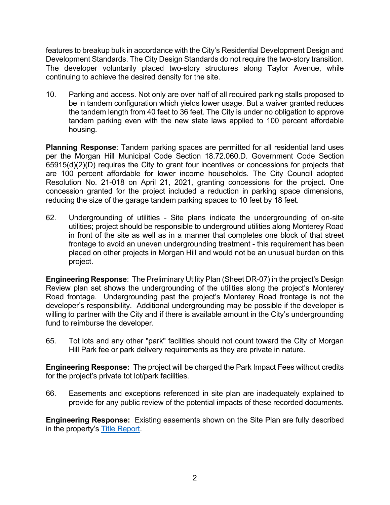features to breakup bulk in accordance with the City's Residential Development Design and Development Standards. The City Design Standards do not require the two-story transition. The developer voluntarily placed two-story structures along Taylor Avenue, while continuing to achieve the desired density for the site.

10. Parking and access. Not only are over half of all required parking stalls proposed to be in tandem configuration which yields lower usage. But a waiver granted reduces the tandem length from 40 feet to 36 feet. The City is under no obligation to approve tandem parking even with the new state laws applied to 100 percent affordable housing.

**Planning Response**: Tandem parking spaces are permitted for all residential land uses per the Morgan Hill Municipal Code Section 18.72.060.D. Government Code Section 65915(d)(2)(D) requires the City to grant four incentives or concessions for projects that are 100 percent affordable for lower income households. The City Council adopted Resolution No. 21-018 on April 21, 2021, granting concessions for the project. One concession granted for the project included a reduction in parking space dimensions, reducing the size of the garage tandem parking spaces to 10 feet by 18 feet.

62. Undergrounding of utilities - Site plans indicate the undergrounding of on-site utilities; project should be responsible to underground utilities along Monterey Road in front of the site as well as in a manner that completes one block of that street frontage to avoid an uneven undergrounding treatment - this requirement has been placed on other projects in Morgan Hill and would not be an unusual burden on this project.

**Engineering Response**: The Preliminary Utility Plan (Sheet DR-07) in the project's Design Review plan set shows the undergrounding of the utilities along the project's Monterey Road frontage. Undergrounding past the project's Monterey Road frontage is not the developer's responsibility. Additional undergrounding may be possible if the developer is willing to partner with the City and if there is available amount in the City's undergrounding fund to reimburse the developer.

65. Tot lots and any other "park" facilities should not count toward the City of Morgan Hill Park fee or park delivery requirements as they are private in nature.

**Engineering Response:** The project will be charged the Park Impact Fees without credits for the project's private tot lot/park facilities.

66. Easements and exceptions referenced in site plan are inadequately explained to provide for any public review of the potential impacts of these recorded documents.

**Engineering Response:** Existing easements shown on the Site Plan are fully described in the property's [Title Report.](https://www.morgan-hill.ca.gov/DocumentCenter/View/39824/Preliminary-Title-Report)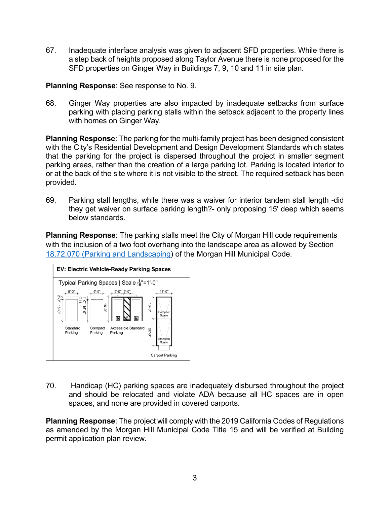67. Inadequate interface analysis was given to adjacent SFD properties. While there is a step back of heights proposed along Taylor Avenue there is none proposed for the SFD properties on Ginger Way in Buildings 7, 9, 10 and 11 in site plan.

**Planning Response**: See response to No. 9.

68. Ginger Way properties are also impacted by inadequate setbacks from surface parking with placing parking stalls within the setback adjacent to the property lines with homes on Ginger Way.

**Planning Response**: The parking for the multi-family project has been designed consistent with the City's Residential Development and Design Development Standards which states that the parking for the project is dispersed throughout the project in smaller segment parking areas, rather than the creation of a large parking lot. Parking is located interior to or at the back of the site where it is not visible to the street. The required setback has been provided.

69. Parking stall lengths, while there was a waiver for interior tandem stall length -did they get waiver on surface parking length?- only proposing 15' deep which seems below standards.

**Planning Response**: The parking stalls meet the City of Morgan Hill code requirements with the inclusion of a two foot overhang into the landscape area as allowed by Section 18.72.070 [\(Parking and Landscaping\)](https://gcc02.safelinks.protection.outlook.com/?url=https%3A%2F%2Flibrary.municode.com%2Fca%2Fmorgan_hill%2Fcodes%2Fcode_of_ordinances%3FnodeId%3DTIT18ZO_DIVIZOCO_CH18.72PALO_18.72.070PALOLA&data=04%7C01%7CGina.Paolini%40morganhill.ca.gov%7C1107049936de459992c808d98a86d532%7Ce11e3e269cf64968a58a8c3e515ebe87%7C0%7C0%7C637693133981853929%7CUnknown%7CTWFpbGZsb3d8eyJWIjoiMC4wLjAwMDAiLCJQIjoiV2luMzIiLCJBTiI6Ik1haWwiLCJXVCI6Mn0%3D%7C1000&sdata=N7GKH5ffknGjoFPZIfXoMEpI1psmOzGwGF070qs%2BA14%3D&reserved=0) of the Morgan Hill Municipal Code.



70. Handicap (HC) parking spaces are inadequately disbursed throughout the project and should be relocated and violate ADA because all HC spaces are in open spaces, and none are provided in covered carports.

**Planning Response**: The project will comply with the 2019 California Codes of Regulations as amended by the Morgan Hill Municipal Code Title 15 and will be verified at Building permit application plan review.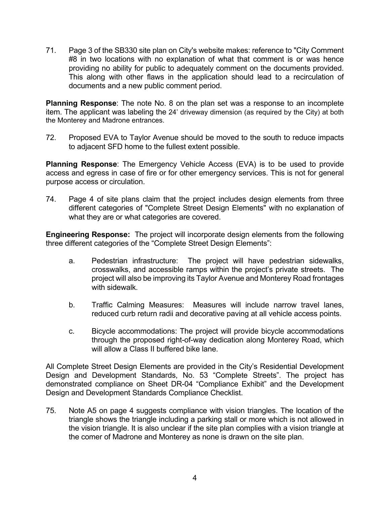71. Page 3 of the SB330 site plan on City's website makes: reference to "City Comment #8 in two locations with no explanation of what that comment is or was hence providing no ability for public to adequately comment on the documents provided. This along with other flaws in the application should lead to a recirculation of documents and a new public comment period.

**Planning Response**: The note No. 8 on the plan set was a response to an incomplete item. The applicant was labeling the 24' driveway dimension (as required by the City) at both the Monterey and Madrone entrances.

72. Proposed EVA to Taylor Avenue should be moved to the south to reduce impacts to adjacent SFD home to the fullest extent possible.

**Planning Response**: The Emergency Vehicle Access (EVA) is to be used to provide access and egress in case of fire or for other emergency services. This is not for general purpose access or circulation.

74. Page 4 of site plans claim that the project includes design elements from three different categories of "Complete Street Design Elements" with no explanation of what they are or what categories are covered.

**Engineering Response:** The project will incorporate design elements from the following three different categories of the "Complete Street Design Elements":

- a. Pedestrian infrastructure: The project will have pedestrian sidewalks, crosswalks, and accessible ramps within the project's private streets. The project will also be improving its Taylor Avenue and Monterey Road frontages with sidewalk.
- b. Traffic Calming Measures: Measures will include narrow travel lanes, reduced curb return radii and decorative paving at all vehicle access points.
- c. Bicycle accommodations: The project will provide bicycle accommodations through the proposed right-of-way dedication along Monterey Road, which will allow a Class II buffered bike lane.

All Complete Street Design Elements are provided in the City's Residential Development Design and Development Standards, No. 53 "Complete Streets". The project has demonstrated compliance on Sheet DR-04 "Compliance Exhibit" and the Development Design and Development Standards Compliance Checklist.

75. Note A5 on page 4 suggests compliance with vision triangles. The location of the triangle shows the triangle including a parking stall or more which is not allowed in the vision triangle. It is also unclear if the site plan complies with a vision triangle at the comer of Madrone and Monterey as none is drawn on the site plan.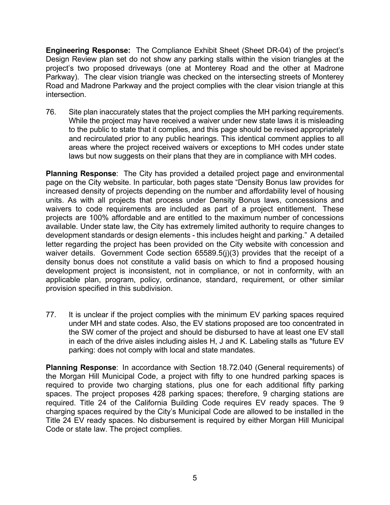**Engineering Response:** The Compliance Exhibit Sheet (Sheet DR-04) of the project's Design Review plan set do not show any parking stalls within the vision triangles at the project's two proposed driveways (one at Monterey Road and the other at Madrone Parkway). The clear vision triangle was checked on the intersecting streets of Monterey Road and Madrone Parkway and the project complies with the clear vision triangle at this intersection.

76. Site plan inaccurately states that the project complies the MH parking requirements. While the project may have received a waiver under new state laws it is misleading to the public to state that it complies, and this page should be revised appropriately and recirculated prior to any public hearings. This identical comment applies to all areas where the project received waivers or exceptions to MH codes under state laws but now suggests on their plans that they are in compliance with MH codes.

**Planning Response**: The City has provided a detailed project page and environmental page on the City website. In particular, both pages state "Density Bonus law provides for increased density of projects depending on the number and affordability level of housing units. As with all projects that process under Density Bonus laws, concessions and waivers to code requirements are included as part of a project entitlement. These projects are 100% affordable and are entitled to the maximum number of concessions available. Under state law, the City has extremely limited authority to require changes to development standards or design elements - this includes height and parking." A detailed letter regarding the project has been provided on the City website with concession and waiver details. Government Code section 65589.5(j)(3) provides that the receipt of a density bonus does not constitute a valid basis on which to find a proposed housing development project is inconsistent, not in compliance, or not in conformity, with an applicable plan, program, policy, ordinance, standard, requirement, or other similar provision specified in this subdivision.

77. It is unclear if the project complies with the minimum EV parking spaces required under MH and state codes. Also, the EV stations proposed are too concentrated in the SW comer of the project and should be disbursed to have at least one EV stall in each of the drive aisles including aisles H, J and K. Labeling stalls as "future EV parking: does not comply with local and state mandates.

**Planning Response**: In accordance with Section 18.72.040 (General requirements) of the Morgan Hill Municipal Code, a project with fifty to one hundred parking spaces is required to provide two charging stations, plus one for each additional fifty parking spaces. The project proposes 428 parking spaces; therefore, 9 charging stations are required. Title 24 of the California Building Code requires EV ready spaces. The 9 charging spaces required by the City's Municipal Code are allowed to be installed in the Title 24 EV ready spaces. No disbursement is required by either Morgan Hill Municipal Code or state law. The project complies.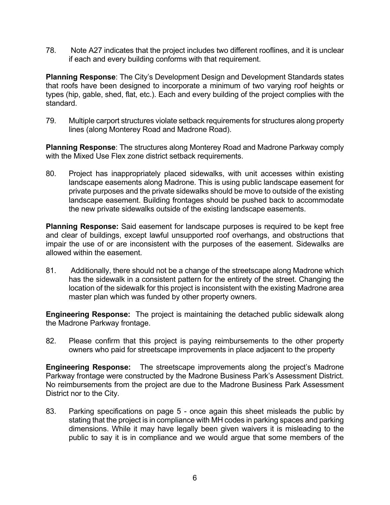78. Note A27 indicates that the project includes two different rooflines, and it is unclear if each and every building conforms with that requirement.

**Planning Response**: The City's Development Design and Development Standards states that roofs have been designed to incorporate a minimum of two varying roof heights or types (hip, gable, shed, flat, etc.). Each and every building of the project complies with the standard.

79. Multiple carport structures violate setback requirements for structures along property lines (along Monterey Road and Madrone Road).

**Planning Response**: The structures along Monterey Road and Madrone Parkway comply with the Mixed Use Flex zone district setback requirements.

80. Project has inappropriately placed sidewalks, with unit accesses within existing landscape easements along Madrone. This is using public landscape easement for private purposes and the private sidewalks should be move to outside of the existing landscape easement. Building frontages should be pushed back to accommodate the new private sidewalks outside of the existing landscape easements.

**Planning Response:** Said easement for landscape purposes is required to be kept free and clear of buildings, except lawful unsupported roof overhangs, and obstructions that impair the use of or are inconsistent with the purposes of the easement. Sidewalks are allowed within the easement.

81. Additionally, there should not be a change of the streetscape along Madrone which has the sidewalk in a consistent pattern for the entirety of the street. Changing the location of the sidewalk for this project is inconsistent with the existing Madrone area master plan which was funded by other property owners.

**Engineering Response:** The project is maintaining the detached public sidewalk along the Madrone Parkway frontage.

82. Please confirm that this project is paying reimbursements to the other property owners who paid for streetscape improvements in place adjacent to the property

**Engineering Response:** The streetscape improvements along the project's Madrone Parkway frontage were constructed by the Madrone Business Park's Assessment District. No reimbursements from the project are due to the Madrone Business Park Assessment District nor to the City.

83. Parking specifications on page 5 - once again this sheet misleads the public by stating that the project is in compliance with MH codes in parking spaces and parking dimensions. While it may have legally been given waivers it is misleading to the public to say it is in compliance and we would argue that some members of the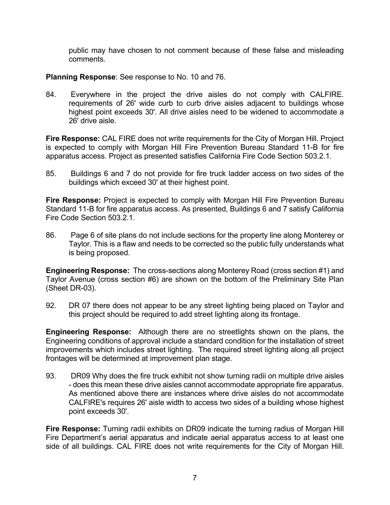public may have chosen to not comment because of these false and misleading comments.

## **Planning Response**: See response to No. 10 and 76.

84. Everywhere in the project the drive aisles do not comply with CALFIRE. requirements of 26' wide curb to curb drive aisles adjacent to buildings whose highest point exceeds 30'. All drive aisles need to be widened to accommodate a 26' drive aisle.

**Fire Response:** CAL FIRE does not write requirements for the City of Morgan Hill. Project is expected to comply with Morgan Hill Fire Prevention Bureau Standard 11-B for fire apparatus access. Project as presented satisfies California Fire Code Section 503.2.1.

85. Buildings 6 and 7 do not provide for fire truck ladder access on two sides of the buildings which exceed 30' at their highest point.

**Fire Response:** Project is expected to comply with Morgan Hill Fire Prevention Bureau Standard 11-B for fire apparatus access. As presented, Buildings 6 and 7 satisfy California Fire Code Section 503.2.1.

86. Page 6 of site plans do not include sections for the property line along Monterey or Taylor. This is a flaw and needs to be corrected so the public fully understands what is being proposed.

**Engineering Response:** The cross-sections along Monterey Road (cross section #1) and Taylor Avenue (cross section #6) are shown on the bottom of the Preliminary Site Plan (Sheet DR-03).

92. DR 07 there does not appear to be any street lighting being placed on Taylor and this project should be required to add street lighting along its frontage.

**Engineering Response:** Although there are no streetlights shown on the plans, the Engineering conditions of approval include a standard condition for the installation of street improvements which includes street lighting. The required street lighting along all project frontages will be determined at improvement plan stage.

93. DR09 Why does the fire truck exhibit not show turning radii on multiple drive aisles - does this mean these drive aisles cannot accommodate appropriate fire apparatus. As mentioned above there are instances where drive aisles do not accommodate CALFIRE's requires 26' aisle width to access two sides of a building whose highest point exceeds 30'.

**Fire Response:** Turning radii exhibits on DR09 indicate the turning radius of Morgan Hill Fire Department's aerial apparatus and indicate aerial apparatus access to at least one side of all buildings. CAL FIRE does not write requirements for the City of Morgan Hill.